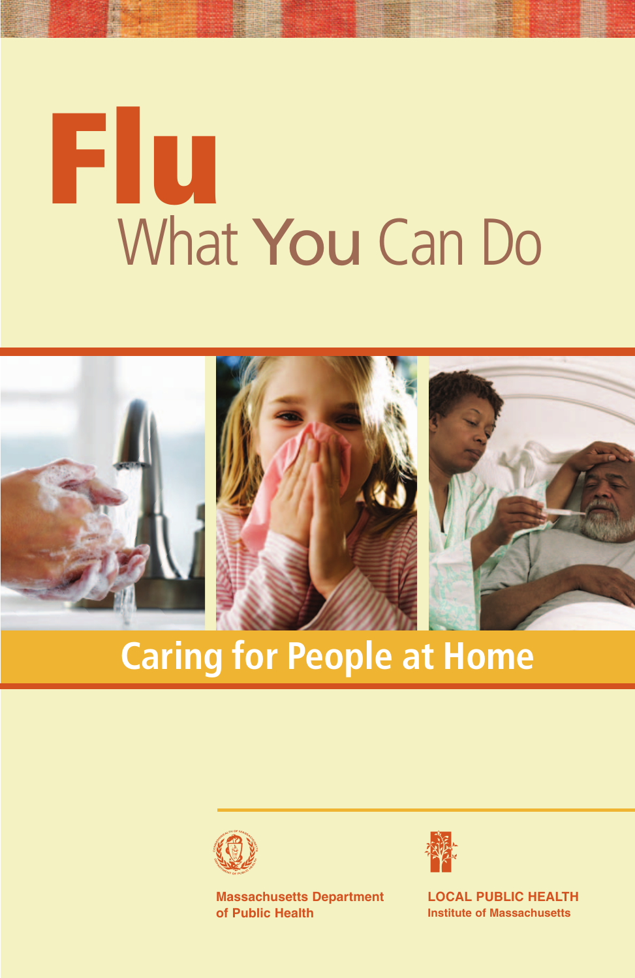# What You Can Do **Flu**



# **Caring for People at Home**



**Massachusetts Department of Public Health**



**LOCAL PUBLIC HEALTH Institute of Massachusetts**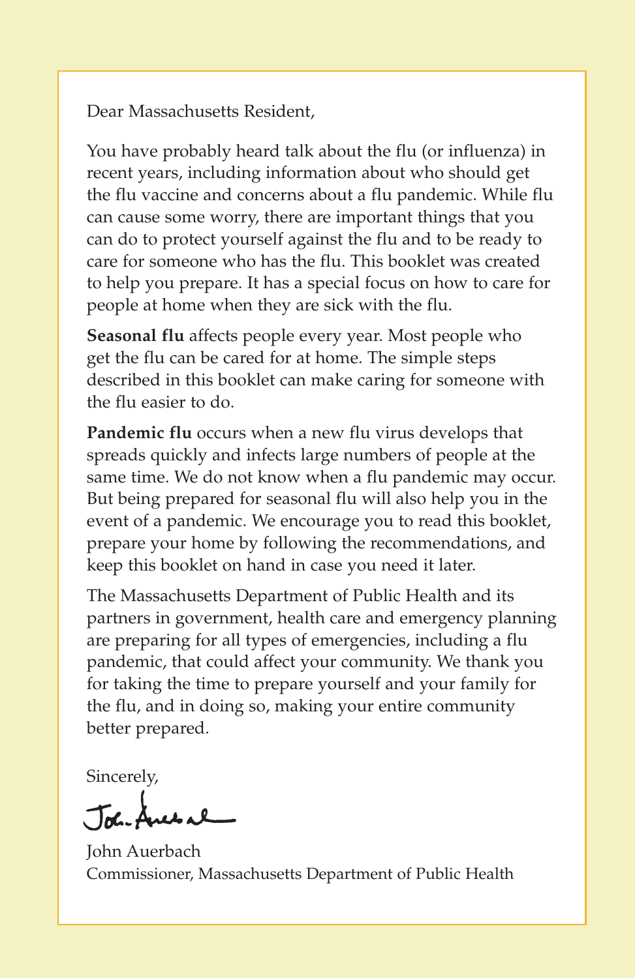Dear Massachusetts Resident,

You have probably heard talk about the flu (or influenza) in recent years, including information about who should get the flu vaccine and concerns about a flu pandemic. While flu can cause some worry, there are important things that you can do to protect yourself against the flu and to be ready to care for someone who has the flu. This booklet was created to help you prepare. It has a special focus on how to care for people at home when they are sick with the flu.

**Seasonal flu** affects people every year. Most people who get the flu can be cared for at home. The simple steps described in this booklet can make caring for someone with the flu easier to do.

**Pandemic flu** occurs when a new flu virus develops that spreads quickly and infects large numbers of people at the same time. We do not know when a flu pandemic may occur. But being prepared for seasonal flu will also help you in the event of a pandemic. We encourage you to read this booklet, prepare your home by following the recommendations, and keep this booklet on hand in case you need it later.

The Massachusetts Department of Public Health and its partners in government, health care and emergency planning are preparing for all types of emergencies, including a flu pandemic, that could affect your community. We thank you for taking the time to prepare yourself and your family for the flu, and in doing so, making your entire community better prepared.

Sincerely,

John Anes al

John Auerbach Commissioner, Massachusetts Department of Public Health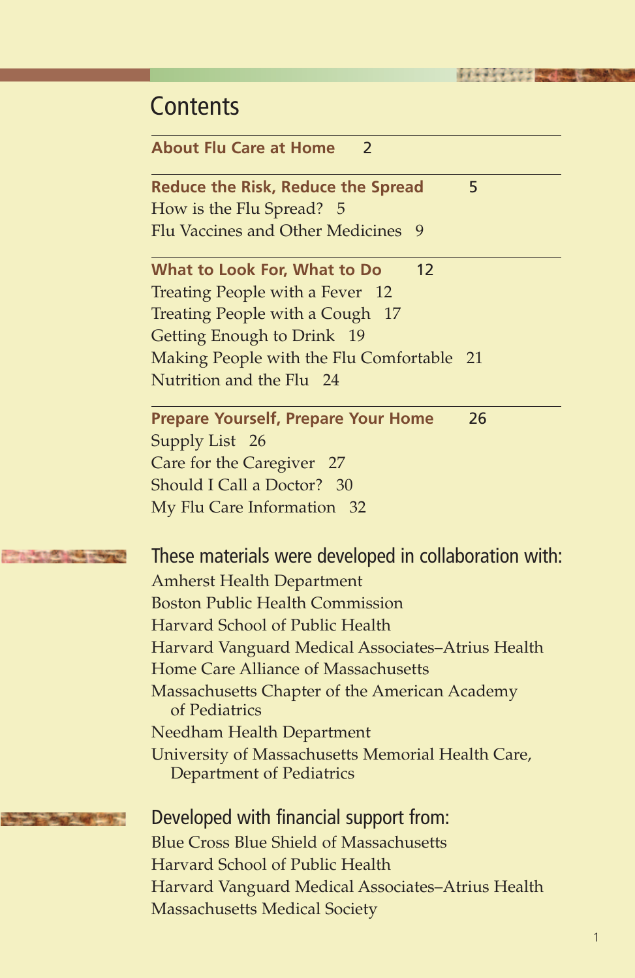| <b>Contents</b>                                                                          |
|------------------------------------------------------------------------------------------|
| <b>About Flu Care at Home</b><br>2                                                       |
| 5<br><b>Reduce the Risk, Reduce the Spread</b><br>How is the Flu Spread? 5               |
| Flu Vaccines and Other Medicines<br>9                                                    |
| 12<br>What to Look For, What to Do                                                       |
| Treating People with a Fever 12                                                          |
| Treating People with a Cough 17                                                          |
| Getting Enough to Drink 19<br>Making People with the Flu Comfortable 21                  |
| Nutrition and the Flu 24                                                                 |
| 26<br><b>Prepare Yourself, Prepare Your Home</b>                                         |
| Supply List 26                                                                           |
| Care for the Caregiver 27                                                                |
| Should I Call a Doctor? 30<br>My Flu Care Information 32                                 |
|                                                                                          |
| These materials were developed in collaboration with:                                    |
| <b>Amherst Health Department</b>                                                         |
| <b>Boston Public Health Commission</b>                                                   |
| Harvard School of Public Health                                                          |
| Harvard Vanguard Medical Associates-Atrius Health<br>Home Care Alliance of Massachusetts |
| Massachusetts Chapter of the American Academy                                            |
| of Pediatrics                                                                            |
| <b>Needham Health Department</b>                                                         |
| University of Massachusetts Memorial Health Care,<br>Department of Pediatrics            |
| Developed with financial support from:                                                   |
| <b>Blue Cross Blue Shield of Massachusetts</b>                                           |
| Harvard School of Public Health                                                          |
| Harvard Vanguard Medical Associates-Atrius Health                                        |

Massachusetts Medical Society

ARTIST LANGUA

**The paint of the Council**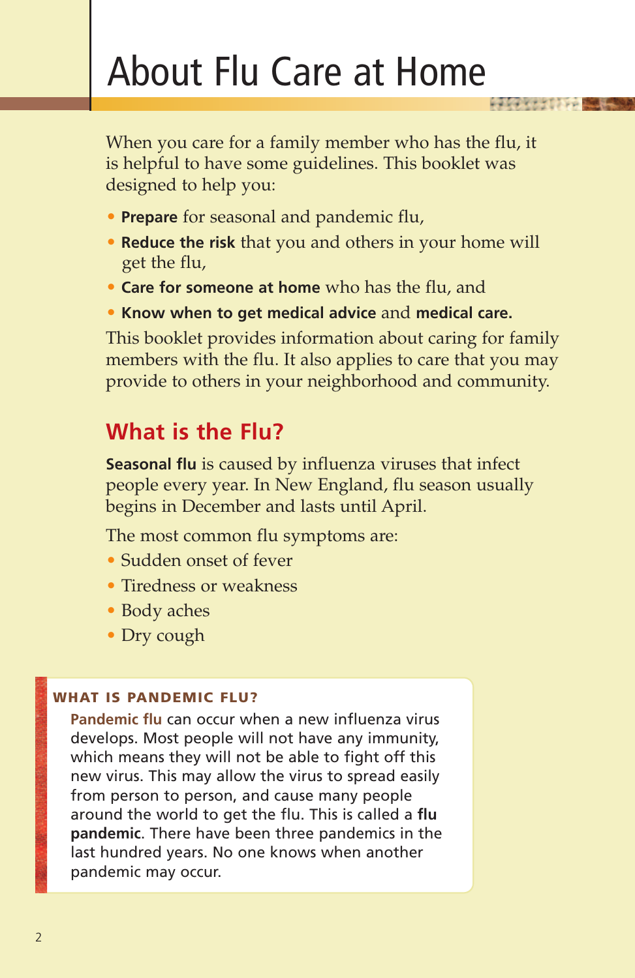# About Flu Care at Home

When you care for a family member who has the flu, it is helpful to have some guidelines. This booklet was designed to help you:

**HOLLAND CONTROLLER** 

- **Prepare** for seasonal and pandemic flu,
- **Reduce the risk** that you and others in your home will get the flu,
- **Care for someone at home** who has the flu, and
- **Know when to get medical advice** and **medical care.**

This booklet provides information about caring for family members with the flu. It also applies to care that you may provide to others in your neighborhood and community.

# **What is the Flu?**

**Seasonal flu** is caused by influenza viruses that infect people every year. In New England, flu season usually begins in December and lasts until April.

The most common flu symptoms are:

- Sudden onset of fever
- Tiredness or weakness
- Body aches
- Dry cough

#### **WHAT IS PANDEMIC FLU?**

**Pandemic flu** can occur when a new influenza virus develops. Most people will not have any immunity, which means they will not be able to fight off this new virus. This may allow the virus to spread easily from person to person, and cause many people around the world to get the flu. This is called a **flu pandemic**. There have been three pandemics in the last hundred years. No one knows when another pandemic may occur.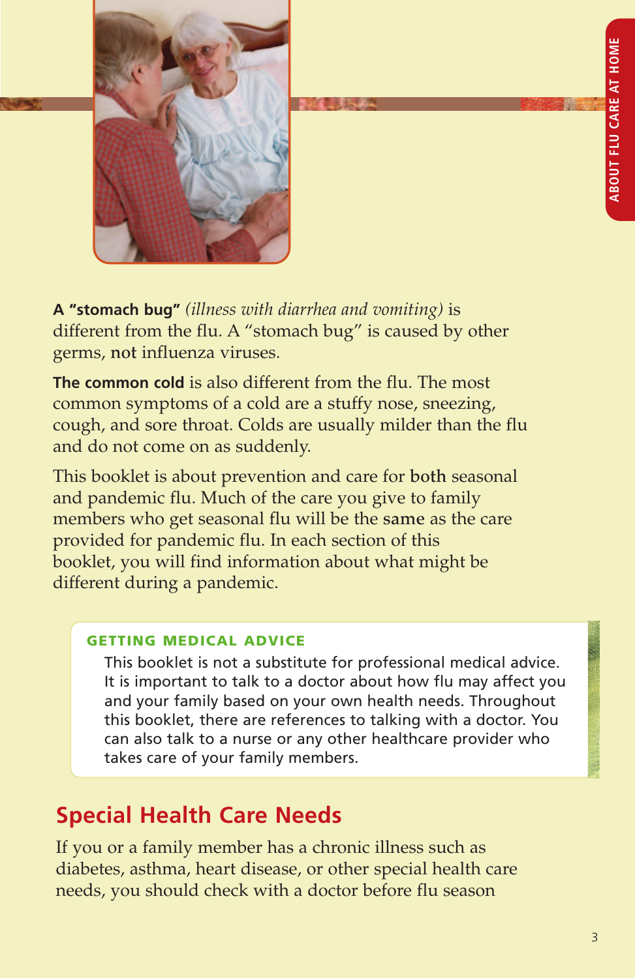

**A "stomach bug"** *(illness with diarrhea and vomiting)* is different from the flu. A "stomach bug" is caused by other germs, **not** influenza viruses.

**The common cold** is also different from the flu. The most common symptoms of a cold are a stuffy nose, sneezing, cough, and sore throat. Colds are usually milder than the flu and do not come on as suddenly.

This booklet is about prevention and care for **both** seasonal and pandemic flu. Much of the care you give to family members who get seasonal flu will be the **same** as the care provided for pandemic flu. In each section of this booklet, you will find information about what might be different during a pandemic.

#### **GETTING MEDICAL ADVICE**

This booklet is not a substitute for professional medical advice. It is important to talk to a doctor about how flu may affect you and your family based on your own health needs. Throughout this booklet, there are references to talking with a doctor. You can also talk to a nurse or any other healthcare provider who takes care of your family members.

# **Special Health Care Needs**

If you or a family member has a chronic illness such as diabetes, asthma, heart disease, or other special health care needs, you should check with a doctor before flu season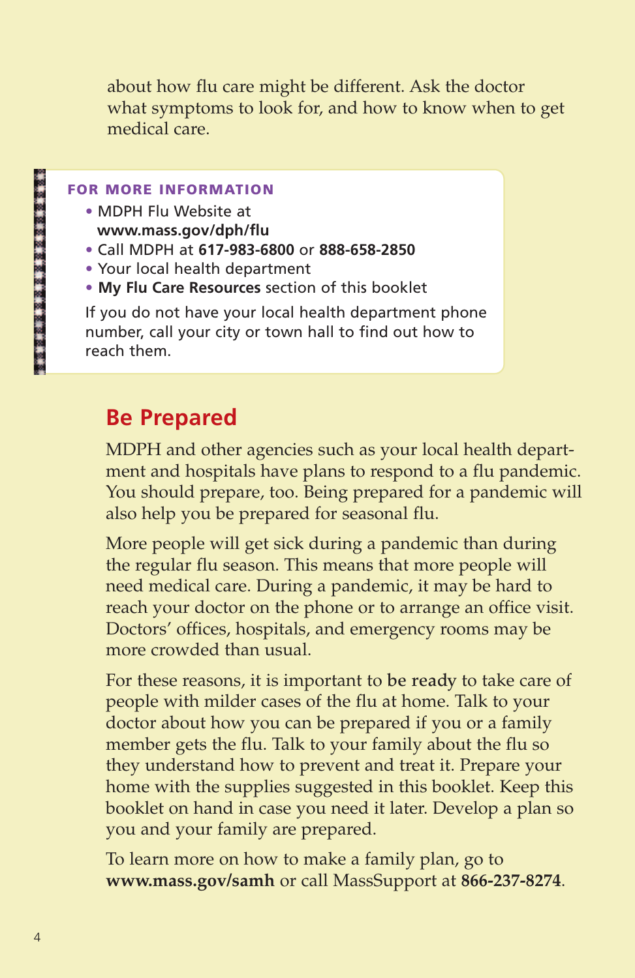about how flu care might be different. Ask the doctor what symptoms to look for, and how to know when to get medical care.

#### **FOR MORE INFORMATION**

- **•** MDPH Flu Website at **www.mass.gov/dph/flu**
- **•** Call MDPH at **617-983-6800** or **888-658-2850**
- **•** Your local health department
- **• My Flu Care Resources** section of this booklet

If you do not have your local health department phone number, call your city or town hall to find out how to reach them.

# **Be Prepared**

MDPH and other agencies such as your local health department and hospitals have plans to respond to a flu pandemic. You should prepare, too. Being prepared for a pandemic will also help you be prepared for seasonal flu.

More people will get sick during a pandemic than during the regular flu season. This means that more people will need medical care. During a pandemic, it may be hard to reach your doctor on the phone or to arrange an office visit. Doctors' offices, hospitals, and emergency rooms may be more crowded than usual.

For these reasons, it is important to **be ready** to take care of people with milder cases of the flu at home. Talk to your doctor about how you can be prepared if you or a family member gets the flu. Talk to your family about the flu so they understand how to prevent and treat it. Prepare your home with the supplies suggested in this booklet. Keep this booklet on hand in case you need it later. Develop a plan so you and your family are prepared.

To learn more on how to make a family plan, go to **www.mass.gov/samh** or call MassSupport at **866-237-8274**.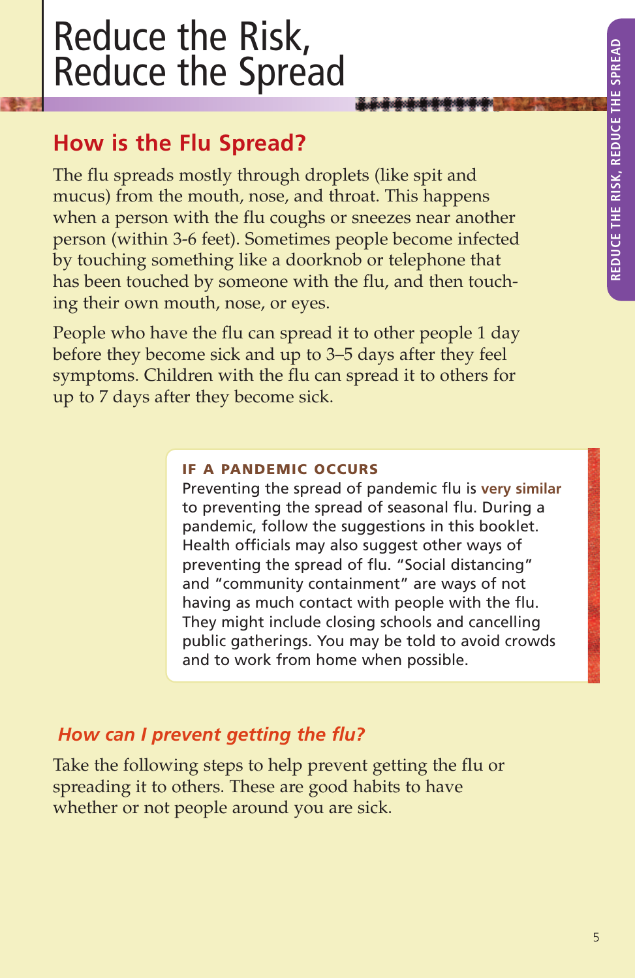# Reduce the Risk, Reduce the Spread

# **How is the Flu Spread?**

The flu spreads mostly through droplets (like spit and mucus) from the mouth, nose, and throat. This happens when a person with the flu coughs or sneezes near another person (within 3-6 feet). Sometimes people become infected by touching something like a doorknob or telephone that has been touched by someone with the flu, and then touching their own mouth, nose, or eyes.

People who have the flu can spread it to other people 1 day before they become sick and up to 3–5 days after they feel symptoms. Children with the flu can spread it to others for up to 7 days after they become sick.

#### **IF A PANDEMIC OCCURS**

Preventing the spread of pandemic flu is **very similar** to preventing the spread of seasonal flu. During a pandemic, follow the suggestions in this booklet. Health officials may also suggest other ways of preventing the spread of flu. "Social distancing" and "community containment" are ways of not having as much contact with people with the flu. They might include closing schools and cancelling public gatherings. You may be told to avoid crowds and to work from home when possible.

# *How can I prevent getting the flu?*

Take the following steps to help prevent getting the flu or spreading it to others. These are good habits to have whether or not people around you are sick.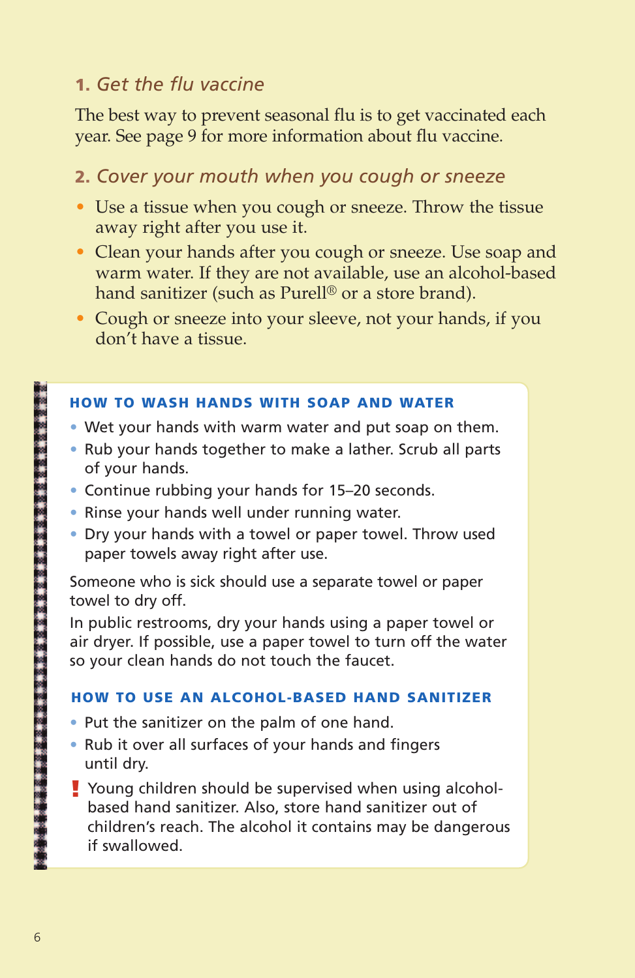# **1.** *Get the flu vaccine*

The best way to prevent seasonal flu is to get vaccinated each year. See page 9 for more information about flu vaccine.

# **2.** *Cover your mouth when you cough or sneeze*

- Use a tissue when you cough or sneeze. Throw the tissue away right after you use it.
- Clean your hands after you cough or sneeze. Use soap and warm water. If they are not available, use an alcohol-based hand sanitizer (such as Purell® or a store brand).
- Cough or sneeze into your sleeve, not your hands, if you don't have a tissue.

#### **HOW TO WASH HANDS WITH SOAP AND WATER**

- **•** Wet your hands with warm water and put soap on them.
- **•** Rub your hands together to make a lather. Scrub all parts of your hands.
- **•** Continue rubbing your hands for 15–20 seconds.
- **•** Rinse your hands well under running water.
- **•** Dry your hands with a towel or paper towel. Throw used paper towels away right after use.

Someone who is sick should use a separate towel or paper towel to dry off.

In public restrooms, dry your hands using a paper towel or air dryer. If possible, use a paper towel to turn off the water so your clean hands do not touch the faucet.

#### **HOW TO USE AN ALCOHOL-BASED HAND SANITIZER**

- **•** Put the sanitizer on the palm of one hand.
- **•** Rub it over all surfaces of your hands and fingers until dry.
- Young children should be supervised when using alcohol-**!**based hand sanitizer. Also, store hand sanitizer out of children's reach. The alcohol it contains may be dangerous if swallowed.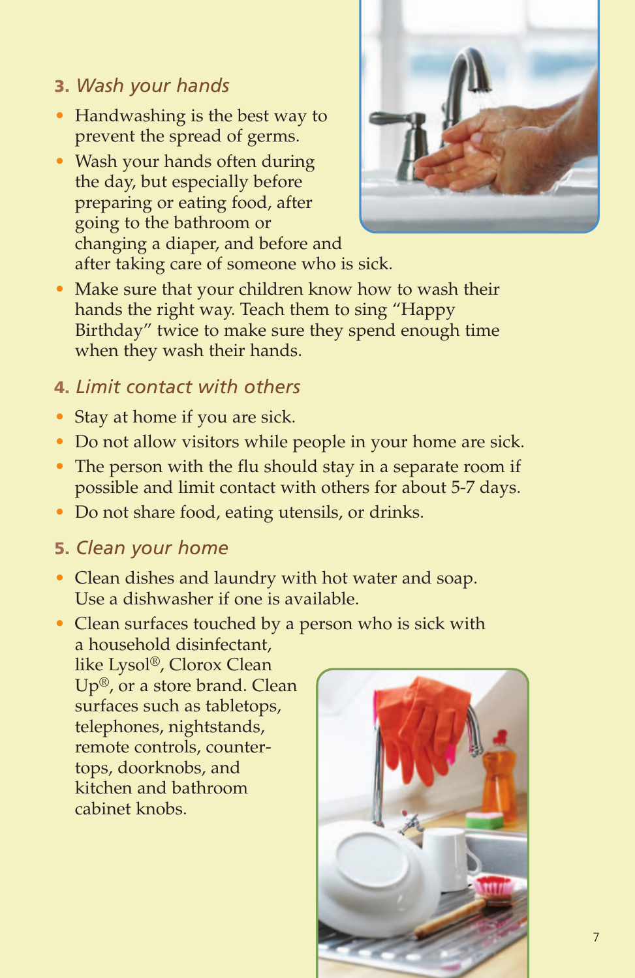# **3.** *Wash your hands*

- Handwashing is the best way to prevent the spread of germs.
- Wash your hands often during the day, but especially before preparing or eating food, after going to the bathroom or changing a diaper, and before and after taking care of someone who is sick.



• Make sure that your children know how to wash their hands the right way. Teach them to sing "Happy Birthday" twice to make sure they spend enough time when they wash their hands.

# **4.** *Limit contact with others*

- Stay at home if you are sick.
- Do not allow visitors while people in your home are sick.
- The person with the flu should stay in a separate room if possible and limit contact with others for about 5-7 days.
- Do not share food, eating utensils, or drinks.

# **5.** *Clean your home*

- Clean dishes and laundry with hot water and soap. Use a dishwasher if one is available.
- Clean surfaces touched by a person who is sick with a household disinfectant, like Lysol®, Clorox Clean Up®, or a store brand. Clean surfaces such as tabletops, telephones, nightstands, remote controls, countertops, doorknobs, and kitchen and bathroom cabinet knobs.

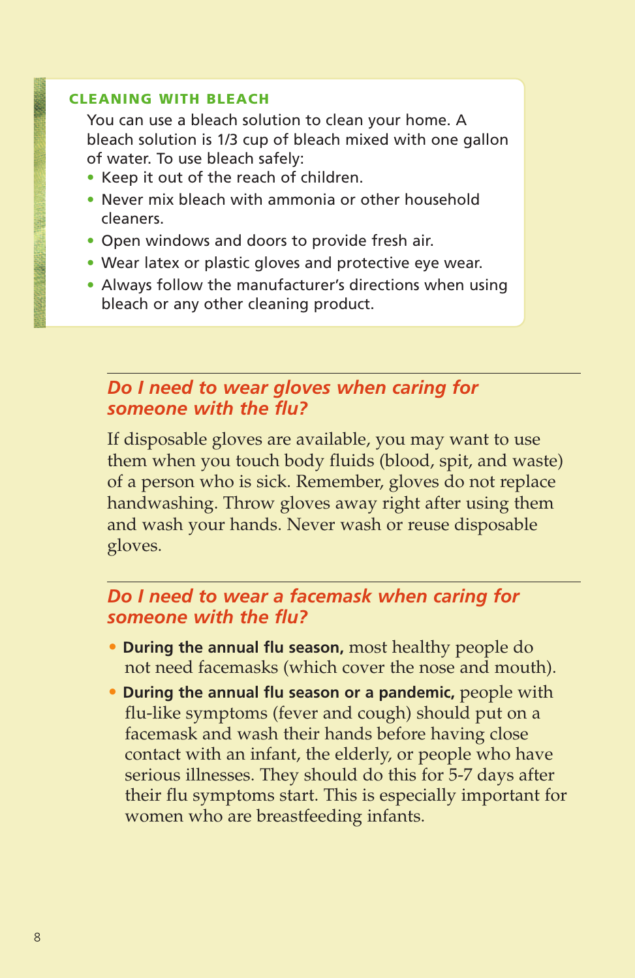#### **CLEANING WITH BLEACH**

You can use a bleach solution to clean your home. A bleach solution is 1/3 cup of bleach mixed with one gallon of water. To use bleach safely:

- **•** Keep it out of the reach of children.
- **•** Never mix bleach with ammonia or other household cleaners.
- **•** Open windows and doors to provide fresh air.
- **•** Wear latex or plastic gloves and protective eye wear.
- **•** Always follow the manufacturer's directions when using bleach or any other cleaning product.

### *Do I need to wear gloves when caring for someone with the flu?*

If disposable gloves are available, you may want to use them when you touch body fluids (blood, spit, and waste) of a person who is sick. Remember, gloves do not replace handwashing. Throw gloves away right after using them and wash your hands. Never wash or reuse disposable gloves.

# *Do I need to wear a facemask when caring for someone with the flu?*

- **During the annual flu season,** most healthy people do not need facemasks (which cover the nose and mouth).
- **During the annual flu season or a pandemic,** people with flu-like symptoms (fever and cough) should put on a facemask and wash their hands before having close contact with an infant, the elderly, or people who have serious illnesses. They should do this for 5-7 days after their flu symptoms start. This is especially important for women who are breastfeeding infants.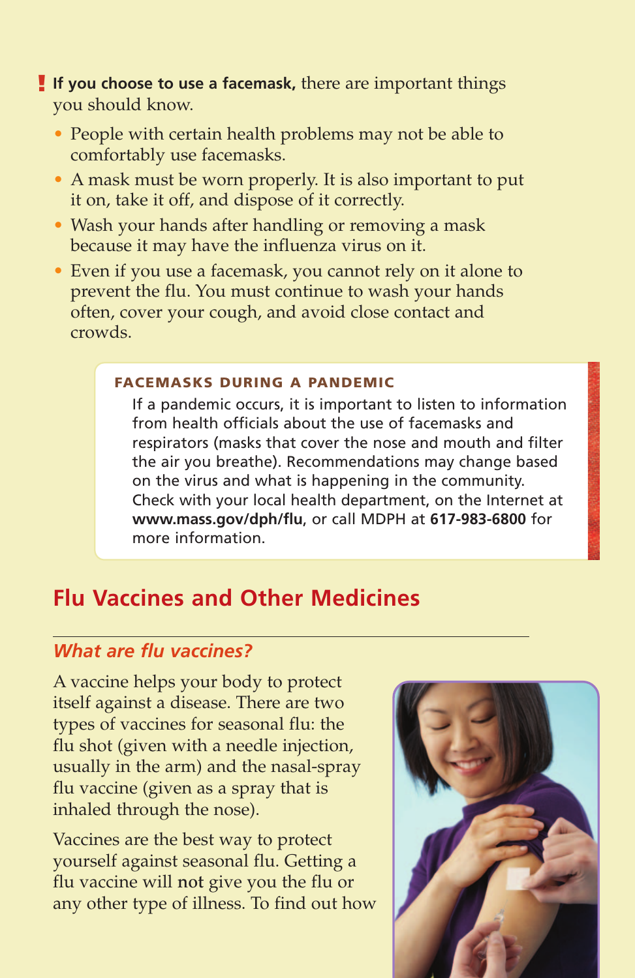- **! If you choose to use a facemask,** there are important things you should know.
	- People with certain health problems may not be able to comfortably use facemasks.
	- A mask must be worn properly. It is also important to put it on, take it off, and dispose of it correctly.
	- Wash your hands after handling or removing a mask because it may have the influenza virus on it.
	- Even if you use a facemask, you cannot rely on it alone to prevent the flu. You must continue to wash your hands often, cover your cough, and avoid close contact and crowds.

#### **FACEMASKS DURING A PANDEMIC**

If a pandemic occurs, it is important to listen to information from health officials about the use of facemasks and respirators (masks that cover the nose and mouth and filter the air you breathe). Recommendations may change based on the virus and what is happening in the community. Check with your local health department, on the Internet at **www.mass.gov/dph/flu**, or call MDPH at **617-983-6800** for more information.

# **Flu Vaccines and Other Medicines**

### *What are flu vaccines?*

A vaccine helps your body to protect itself against a disease. There are two types of vaccines for seasonal flu: the flu shot (given with a needle injection, usually in the arm) and the nasal-spray flu vaccine (given as a spray that is inhaled through the nose).

Vaccines are the best way to protect yourself against seasonal flu. Getting a flu vaccine will **not** give you the flu or any other type of illness. To find out how

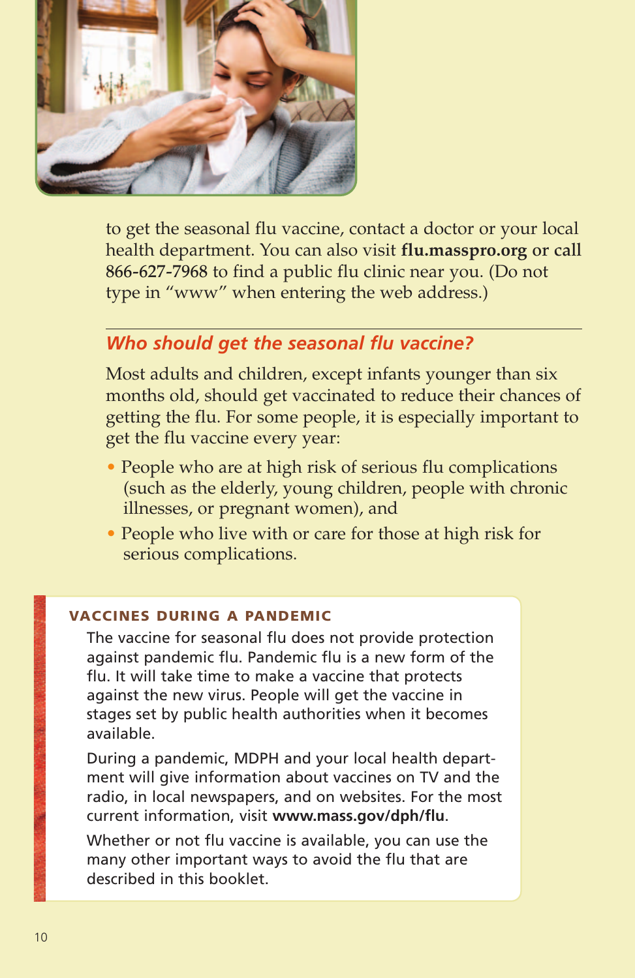

to get the seasonal flu vaccine, contact a doctor or your local health department. You can also visit **flu.masspro.org or call 866-627-7968** to find a public flu clinic near you. (Do not type in "www" when entering the web address.)

### *Who should get the seasonal flu vaccine?*

Most adults and children, except infants younger than six months old, should get vaccinated to reduce their chances of getting the flu. For some people, it is especially important to get the flu vaccine every year:

- People who are at high risk of serious flu complications (such as the elderly, young children, people with chronic illnesses, or pregnant women), and
- People who live with or care for those at high risk for serious complications.

#### **VACCINES DURING A PANDEMIC**

The vaccine for seasonal flu does not provide protection against pandemic flu. Pandemic flu is a new form of the flu. It will take time to make a vaccine that protects against the new virus. People will get the vaccine in stages set by public health authorities when it becomes available.

During a pandemic, MDPH and your local health department will give information about vaccines on TV and the radio, in local newspapers, and on websites. For the most current information, visit **www.mass.gov/dph/flu**.

Whether or not flu vaccine is available, you can use the many other important ways to avoid the flu that are described in this booklet.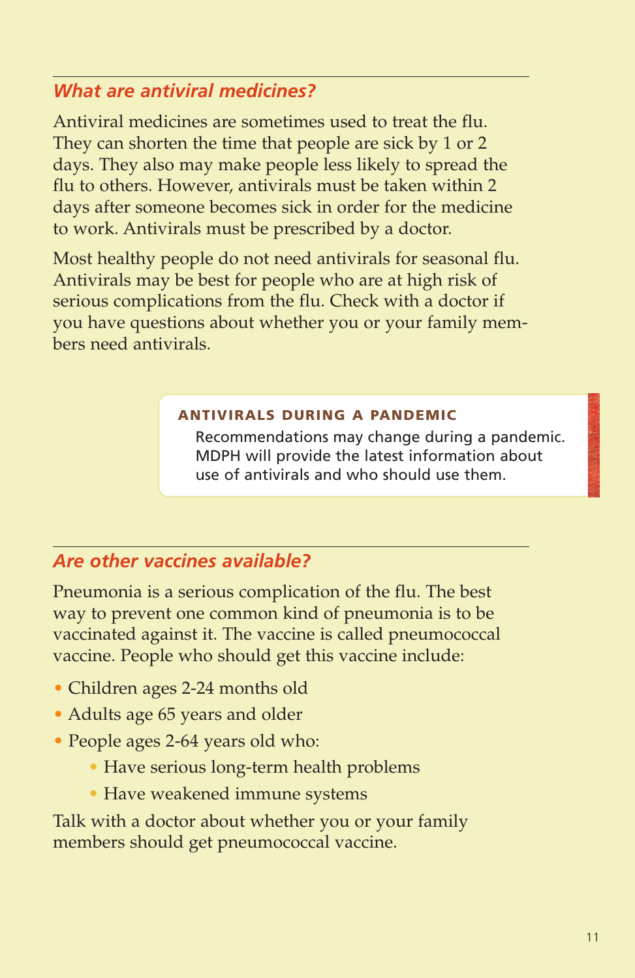# *What are antiviral medicines?*

Antiviral medicines are sometimes used to treat the flu. They can shorten the time that people are sick by 1 or 2 days. They also may make people less likely to spread the flu to others. However, antivirals must be taken within 2 days after someone becomes sick in order for the medicine to work. Antivirals must be prescribed by a doctor.

Most healthy people do not need antivirals for seasonal flu. Antivirals may be best for people who are at high risk of serious complications from the flu. Check with a doctor if you have questions about whether you or your family members need antivirals.

#### **ANTIVIRALS DURING A PANDEMIC**

Recommendations may change during a pandemic. MDPH will provide the latest information about use of antivirals and who should use them.

# *Are other vaccines available?*

Pneumonia is a serious complication of the flu. The best way to prevent one common kind of pneumonia is to be vaccinated against it. The vaccine is called pneumococcal vaccine. People who should get this vaccine include:

- Children ages 2-24 months old
- Adults age 65 years and older
- People ages 2-64 years old who:
	- Have serious long-term health problems
	- Have weakened immune systems

Talk with a doctor about whether you or your family members should get pneumococcal vaccine.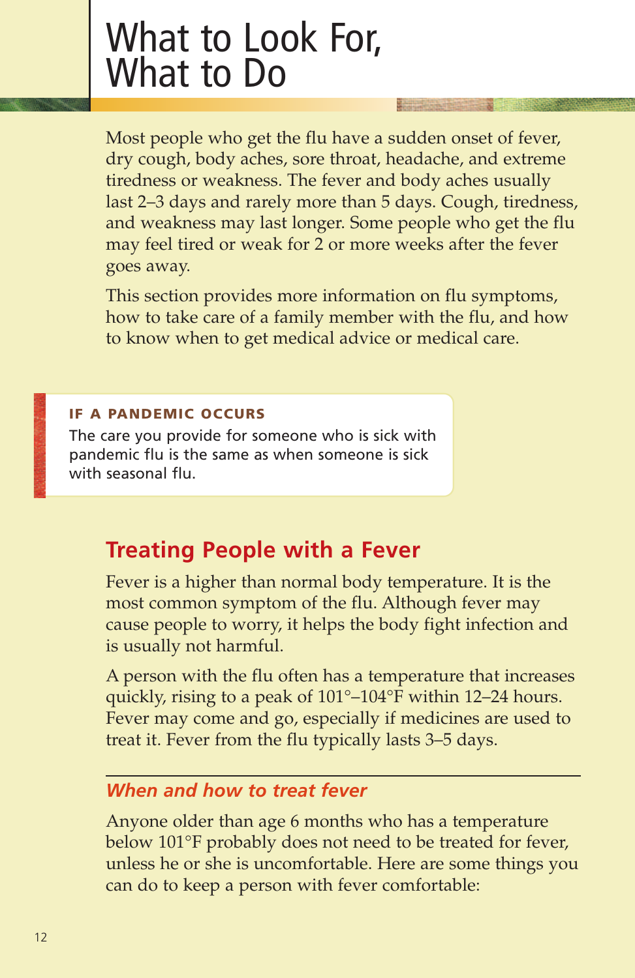# What to Look For, What to Do

Most people who get the flu have a sudden onset of fever, dry cough, body aches, sore throat, headache, and extreme tiredness or weakness. The fever and body aches usually last 2–3 days and rarely more than 5 days. Cough, tiredness, and weakness may last longer. Some people who get the flu may feel tired or weak for 2 or more weeks after the fever goes away.

This section provides more information on flu symptoms, how to take care of a family member with the flu, and how to know when to get medical advice or medical care.

#### **IF A PANDEMIC OCCURS**

The care you provide for someone who is sick with pandemic flu is the same as when someone is sick with seasonal flu.

# **Treating People with a Fever**

Fever is a higher than normal body temperature. It is the most common symptom of the flu. Although fever may cause people to worry, it helps the body fight infection and is usually not harmful.

A person with the flu often has a temperature that increases quickly, rising to a peak of 101°–104°F within 12–24 hours. Fever may come and go, especially if medicines are used to treat it. Fever from the flu typically lasts 3–5 days.

# *When and how to treat fever*

Anyone older than age 6 months who has a temperature below 101°F probably does not need to be treated for fever, unless he or she is uncomfortable. Here are some things you can do to keep a person with fever comfortable: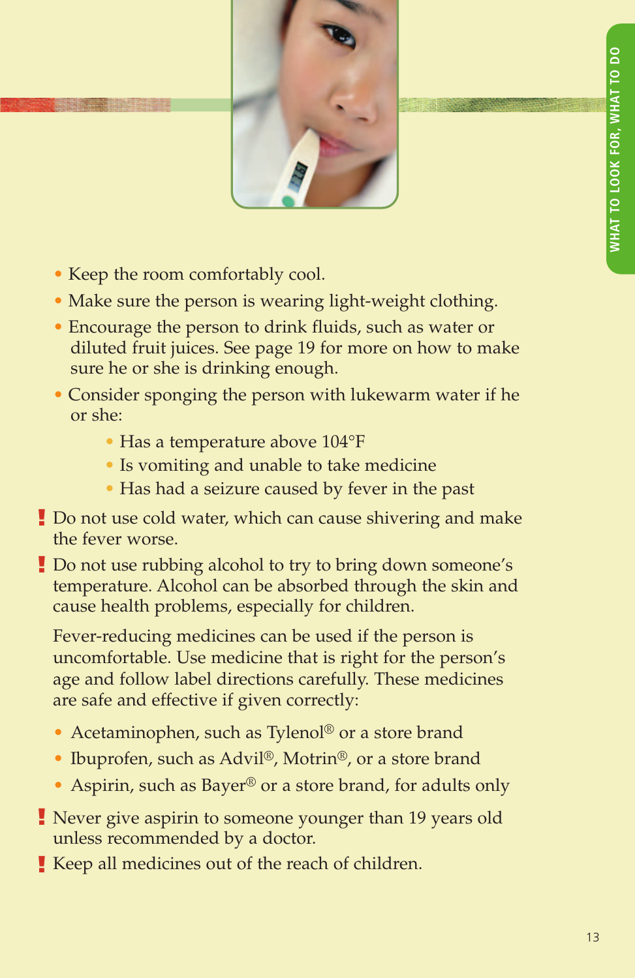

- Keep the room comfortably cool.
- Make sure the person is wearing light-weight clothing.
- **•** Encourage the person to drink fluids, such as water or diluted fruit juices. See page 19 for more on how to make sure he or she is drinking enough.
- Consider sponging the person with lukewarm water if he or she:
	- Has a temperature above 104°F
	- Is vomiting and unable to take medicine
	- Has had a seizure caused by fever in the past
- Do not use cold water, which can cause shivering and make **!** the fever worse.
- Do not use rubbing alcohol to try to bring down someone's **!** temperature. Alcohol can be absorbed through the skin and cause health problems, especially for children.

Fever-reducing medicines can be used if the person is uncomfortable. Use medicine that is right for the person's age and follow label directions carefully. These medicines are safe and effective if given correctly:

- Acetaminophen, such as Tylenol<sup>®</sup> or a store brand
- Ibuprofen, such as Advil®, Motrin®, or a store brand
- Aspirin, such as Bayer<sup>®</sup> or a store brand, for adults only
- Never give aspirin to someone younger than 19 years old **!** unless recommended by a doctor.
- Keep all medicines out of the reach of children. **!**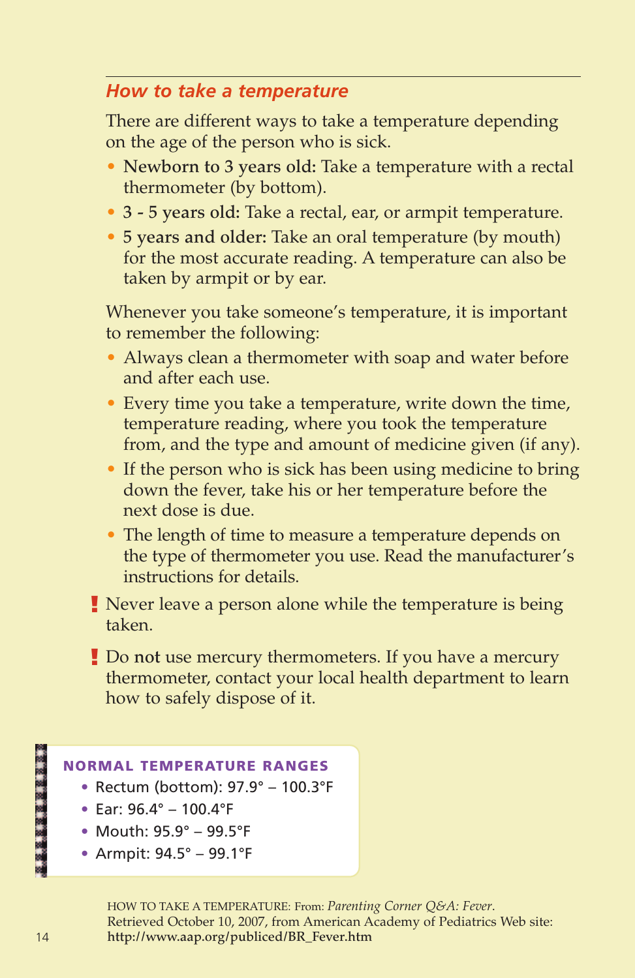# *How to take a temperature*

There are different ways to take a temperature depending on the age of the person who is sick.

- **Newborn to 3 years old:** Take a temperature with a rectal thermometer (by bottom).
- **3 5 years old:** Take a rectal, ear, or armpit temperature.
- **5 years and older:** Take an oral temperature (by mouth) for the most accurate reading. A temperature can also be taken by armpit or by ear.

Whenever you take someone's temperature, it is important to remember the following:

- Always clean a thermometer with soap and water before and after each use.
- Every time you take a temperature, write down the time, temperature reading, where you took the temperature from, and the type and amount of medicine given (if any).
- If the person who is sick has been using medicine to bring down the fever, take his or her temperature before the next dose is due.
- The length of time to measure a temperature depends on the type of thermometer you use. Read the manufacturer's instructions for details.
- Never leave a person alone while the temperature is being **!** taken.
- Do **not** use mercury thermometers. If you have a mercury **!** thermometer, contact your local health department to learn how to safely dispose of it.

#### **NORMAL TEMPERATURE RANGES**

- **•** Rectum (bottom): 97.9° 100.3°F
- **•** Ear: 96.4° 100.4°F
- **•** Mouth: 95.9° 99.5°F
- **•** Armpit: 94.5° 99.1°F

HOW TO TAKE A TEMPERATURE: From: *Parenting Corner Q&A: Fever*. Retrieved October 10, 2007, from American Academy of Pediatrics Web site: **http://www.aap.org/publiced/BR\_Fever.htm**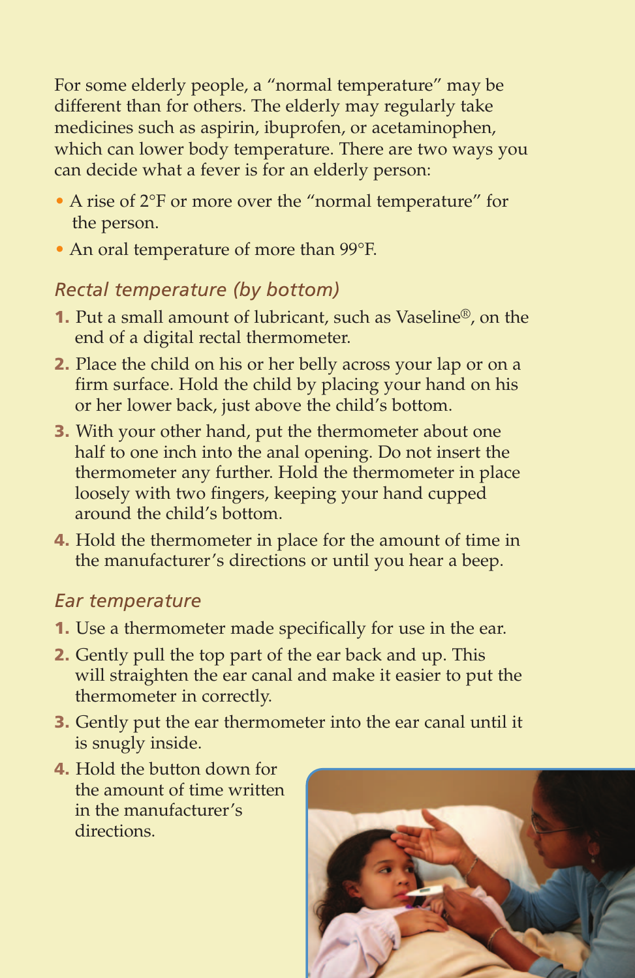For some elderly people, a "normal temperature" may be different than for others. The elderly may regularly take medicines such as aspirin, ibuprofen, or acetaminophen, which can lower body temperature. There are two ways you can decide what a fever is for an elderly person:

- A rise of 2°F or more over the "normal temperature" for the person.
- An oral temperature of more than 99°F.

# *Rectal temperature (by bottom)*

- **1.** Put a small amount of lubricant, such as Vaseline®, on the end of a digital rectal thermometer.
- **2.** Place the child on his or her belly across your lap or on a firm surface. Hold the child by placing your hand on his or her lower back, just above the child's bottom.
- **3.** With your other hand, put the thermometer about one half to one inch into the anal opening. Do not insert the thermometer any further. Hold the thermometer in place loosely with two fingers, keeping your hand cupped around the child's bottom.
- **4.** Hold the thermometer in place for the amount of time in the manufacturer's directions or until you hear a beep.

# *Ear temperature*

- **1.** Use a thermometer made specifically for use in the ear.
- **2.** Gently pull the top part of the ear back and up. This will straighten the ear canal and make it easier to put the thermometer in correctly.
- **3.** Gently put the ear thermometer into the ear canal until it is snugly inside.
- **4.** Hold the button down for the amount of time written in the manufacturer's directions.

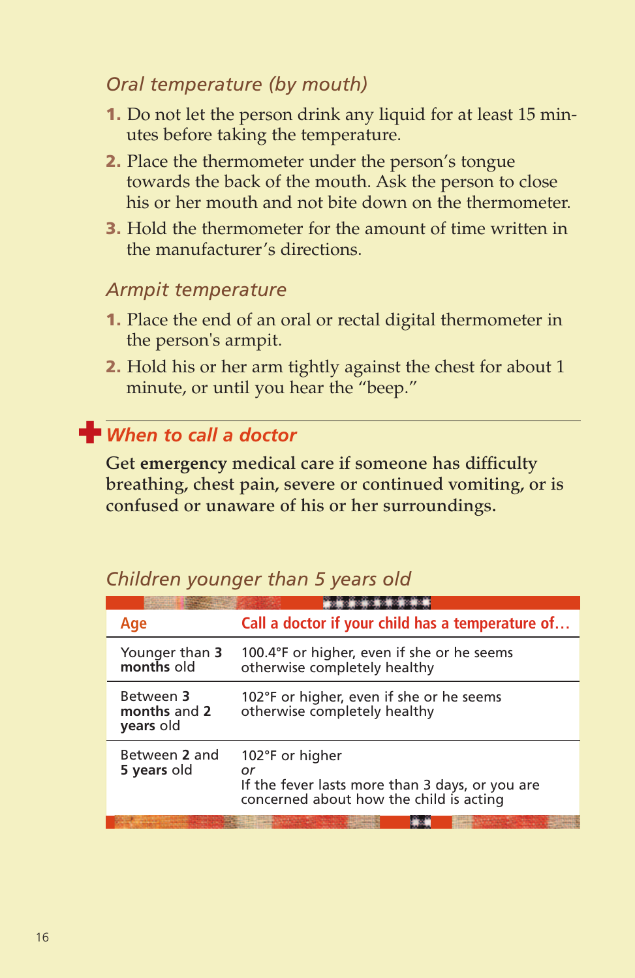# *Oral temperature (by mouth)*

- **1.** Do not let the person drink any liquid for at least 15 minutes before taking the temperature.
- **2.** Place the thermometer under the person's tongue towards the back of the mouth. Ask the person to close his or her mouth and not bite down on the thermometer.
- **3.** Hold the thermometer for the amount of time written in the manufacturer's directions.

### *Armpit temperature*

- **1.** Place the end of an oral or rectal digital thermometer in the person's armpit.
- **2.** Hold his or her arm tightly against the chest for about 1 minute, or until you hear the "beep."

# **✚** *When to call a doctor*

**Get emergency medical care if someone has difficulty breathing, chest pain, severe or continued vomiting, or is confused or unaware of his or her surroundings.**

# *Children younger than 5 years old*

| Age                                    | Call a doctor if your child has a temperature of                                                                    |
|----------------------------------------|---------------------------------------------------------------------------------------------------------------------|
| Younger than 3<br>months old           | 100.4°F or higher, even if she or he seems<br>otherwise completely healthy                                          |
| Between 3<br>months and 2<br>years old | 102°F or higher, even if she or he seems<br>otherwise completely healthy                                            |
| Between 2 and<br>5 years old           | 102°F or higher<br>or<br>If the fever lasts more than 3 days, or you are<br>concerned about how the child is acting |
|                                        |                                                                                                                     |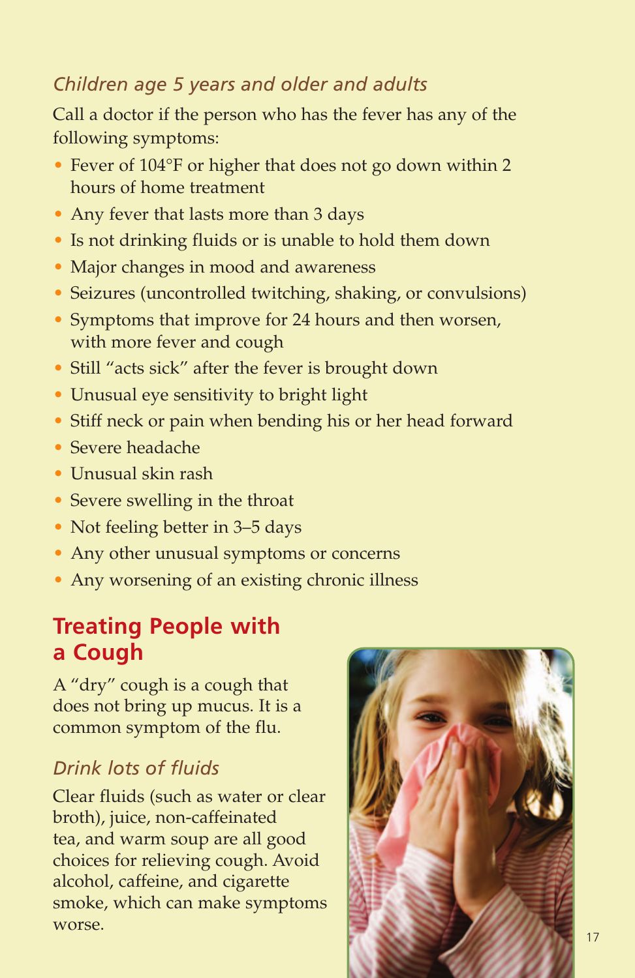# *Children age 5 years and older and adults*

Call a doctor if the person who has the fever has any of the following symptoms:

- Fever of 104°F or higher that does not go down within 2 hours of home treatment
- Any fever that lasts more than 3 days
- Is not drinking fluids or is unable to hold them down
- Major changes in mood and awareness
- Seizures (uncontrolled twitching, shaking, or convulsions)
- Symptoms that improve for 24 hours and then worsen, with more fever and cough
- Still "acts sick" after the fever is brought down
- Unusual eye sensitivity to bright light
- Stiff neck or pain when bending his or her head forward
- Severe headache
- Unusual skin rash
- Severe swelling in the throat
- Not feeling better in 3–5 days
- Any other unusual symptoms or concerns
- Any worsening of an existing chronic illness

# **Treating People with a Cough**

A "dry" cough is a cough that does not bring up mucus. It is a common symptom of the flu.

# *Drink lots of fluids*

Clear fluids (such as water or clear broth), juice, non-caffeinated tea, and warm soup are all good choices for relieving cough. Avoid alcohol, caffeine, and cigarette smoke, which can make symptoms worse.

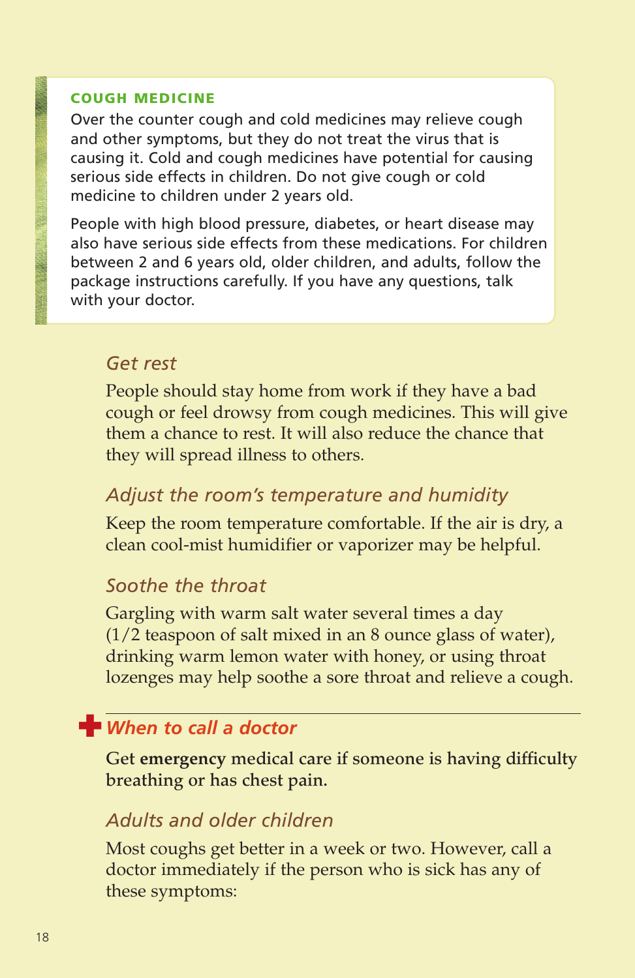#### **COUGH MEDICINE**

Over the counter cough and cold medicines may relieve cough and other symptoms, but they do not treat the virus that is causing it. Cold and cough medicines have potential for causing serious side effects in children. Do not give cough or cold medicine to children under 2 years old.

People with high blood pressure, diabetes, or heart disease may also have serious side effects from these medications. For children between 2 and 6 years old, older children, and adults, follow the package instructions carefully. If you have any questions, talk with your doctor.

#### *Get rest*

People should stay home from work if they have a bad cough or feel drowsy from cough medicines. This will give them a chance to rest. It will also reduce the chance that they will spread illness to others.

# *Adjust the room's temperature and humidity*

Keep the room temperature comfortable. If the air is dry, a clean cool-mist humidifier or vaporizer may be helpful.

#### *Soothe the throat*

Gargling with warm salt water several times a day (1/2 teaspoon of salt mixed in an 8 ounce glass of water), drinking warm lemon water with honey, or using throat lozenges may help soothe a sore throat and relieve a cough.

# $\frac{1}{2}$  When to call a doctor

**Get emergency medical care if someone is having difficulty breathing or has chest pain.**

### *Adults and older children*

Most coughs get better in a week or two. However, call a doctor immediately if the person who is sick has any of these symptoms: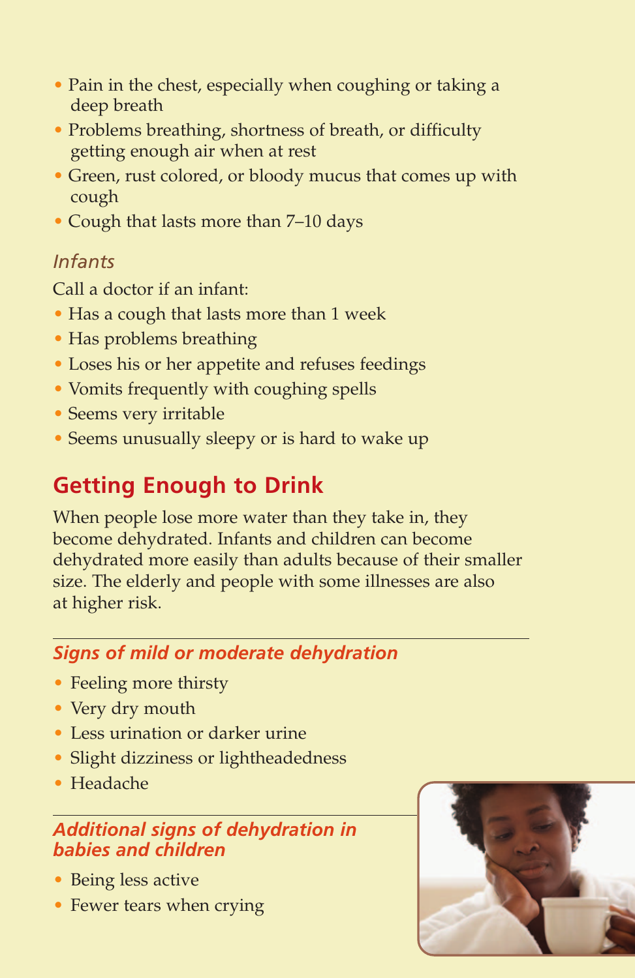- Pain in the chest, especially when coughing or taking a deep breath
- Problems breathing, shortness of breath, or difficulty getting enough air when at rest
- Green, rust colored, or bloody mucus that comes up with cough
- Cough that lasts more than 7–10 days

# *Infants*

Call a doctor if an infant:

- Has a cough that lasts more than 1 week
- Has problems breathing
- Loses his or her appetite and refuses feedings
- Vomits frequently with coughing spells
- Seems very irritable
- Seems unusually sleepy or is hard to wake up

# **Getting Enough to Drink**

When people lose more water than they take in, they become dehydrated. Infants and children can become dehydrated more easily than adults because of their smaller size. The elderly and people with some illnesses are also at higher risk.

# *Signs of mild or moderate dehydration*

- Feeling more thirsty
- Very dry mouth
- Less urination or darker urine
- Slight dizziness or lightheadedness
- Headache

# *Additional signs of dehydration in babies and children*

- Being less active
- Fewer tears when crying

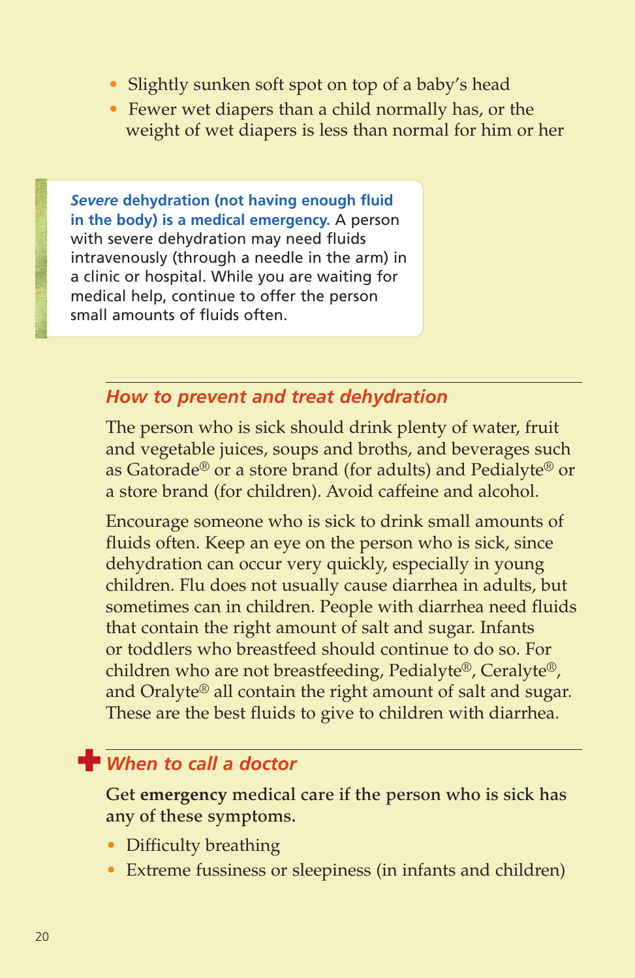- Slightly sunken soft spot on top of a baby's head
- Fewer wet diapers than a child normally has, or the weight of wet diapers is less than normal for him or her

*Severe* **dehydration (not having enough fluid in the body) is a medical emergency.** A person with severe dehydration may need fluids intravenously (through a needle in the arm) in a clinic or hospital. While you are waiting for medical help, continue to offer the person small amounts of fluids often.

### *How to prevent and treat dehydration*

The person who is sick should drink plenty of water, fruit and vegetable juices, soups and broths, and beverages such as Gatorade® or a store brand (for adults) and Pedialyte® or a store brand (for children). Avoid caffeine and alcohol.

Encourage someone who is sick to drink small amounts of fluids often. Keep an eye on the person who is sick, since dehydration can occur very quickly, especially in young children. Flu does not usually cause diarrhea in adults, but sometimes can in children. People with diarrhea need fluids that contain the right amount of salt and sugar. Infants or toddlers who breastfeed should continue to do so. For children who are not breastfeeding, Pedialyte®, Ceralyte®, and Oralyte® all contain the right amount of salt and sugar. These are the best fluids to give to children with diarrhea.

# **when to call a doctor**

**Get emergency medical care if the person who is sick has any of these symptoms.**

- Difficulty breathing
- Extreme fussiness or sleepiness (in infants and children)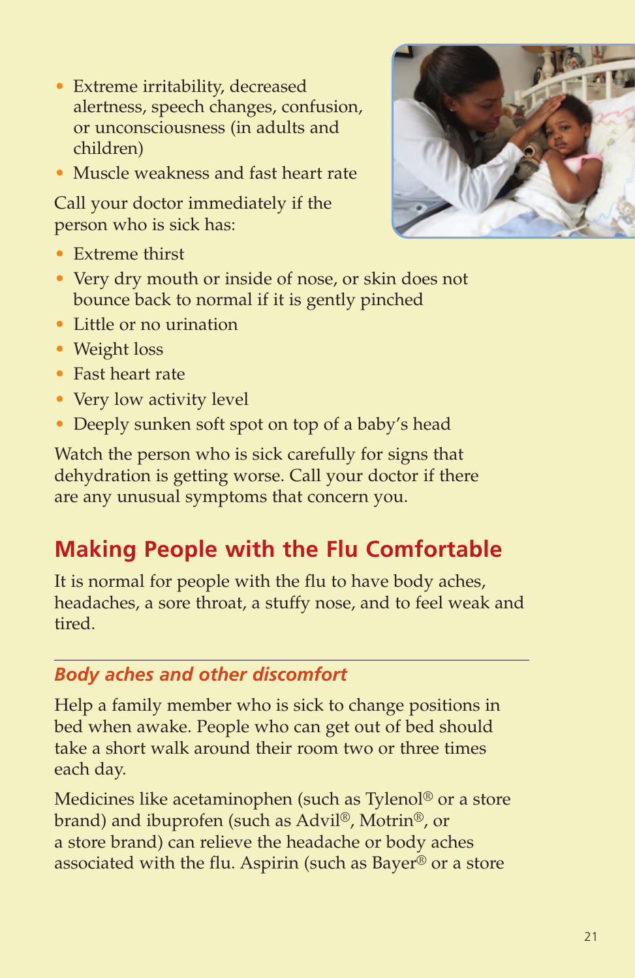- Extreme irritability, decreased alertness, speech changes, confusion, or unconsciousness (in adults and children)
- Muscle weakness and fast heart rate

Call your doctor immediately if the person who is sick has:



- Extreme thirst
- Very dry mouth or inside of nose, or skin does not bounce back to normal if it is gently pinched
- Little or no urination
- Weight loss
- Fast heart rate
- Very low activity level
- Deeply sunken soft spot on top of a baby's head

Watch the person who is sick carefully for signs that dehydration is getting worse. Call your doctor if there are any unusual symptoms that concern you.

# **Making People with the Flu Comfortable**

It is normal for people with the flu to have body aches, headaches, a sore throat, a stuffy nose, and to feel weak and tired.

# *Body aches and other discomfort*

Help a family member who is sick to change positions in bed when awake. People who can get out of bed should take a short walk around their room two or three times each day.

Medicines like acetaminophen (such as Tylenol® or a store brand) and ibuprofen (such as Advil®, Motrin®, or a store brand) can relieve the headache or body aches associated with the flu. Aspirin (such as Bayer® or a store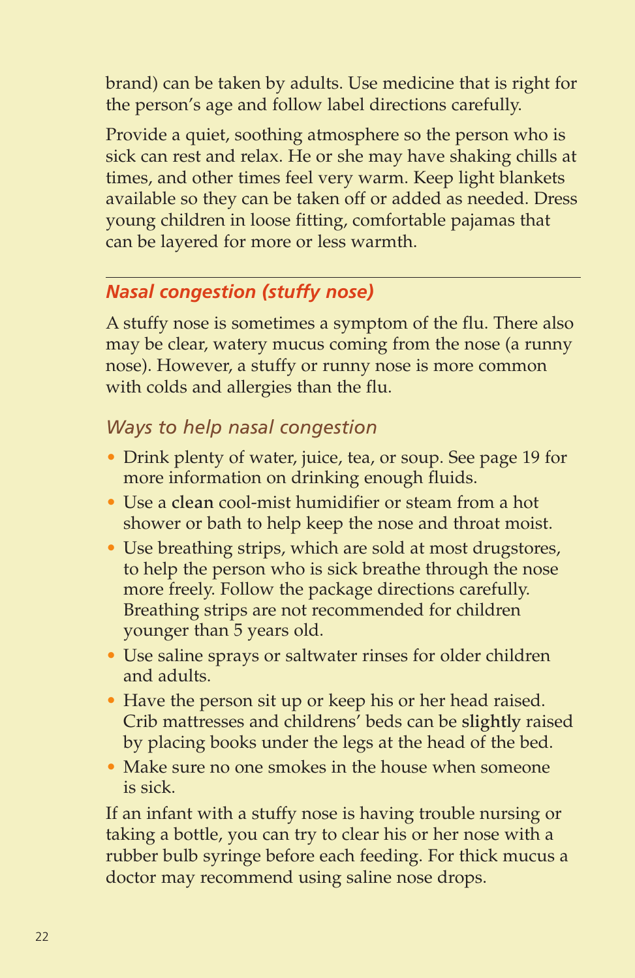brand) can be taken by adults. Use medicine that is right for the person's age and follow label directions carefully.

Provide a quiet, soothing atmosphere so the person who is sick can rest and relax. He or she may have shaking chills at times, and other times feel very warm. Keep light blankets available so they can be taken off or added as needed. Dress young children in loose fitting, comfortable pajamas that can be layered for more or less warmth.

# *Nasal congestion (stuffy nose)*

A stuffy nose is sometimes a symptom of the flu. There also may be clear, watery mucus coming from the nose (a runny nose). However, a stuffy or runny nose is more common with colds and allergies than the flu.

# *Ways to help nasal congestion*

- Drink plenty of water, juice, tea, or soup. See page 19 for more information on drinking enough fluids.
- Use a **clean** cool-mist humidifier or steam from a hot shower or bath to help keep the nose and throat moist.
- Use breathing strips, which are sold at most drugstores, to help the person who is sick breathe through the nose more freely. Follow the package directions carefully. Breathing strips are not recommended for children younger than 5 years old.
- Use saline sprays or saltwater rinses for older children and adults.
- Have the person sit up or keep his or her head raised. Crib mattresses and childrens' beds can be **slightly** raised by placing books under the legs at the head of the bed.
- Make sure no one smokes in the house when someone is sick.

If an infant with a stuffy nose is having trouble nursing or taking a bottle, you can try to clear his or her nose with a rubber bulb syringe before each feeding. For thick mucus a doctor may recommend using saline nose drops.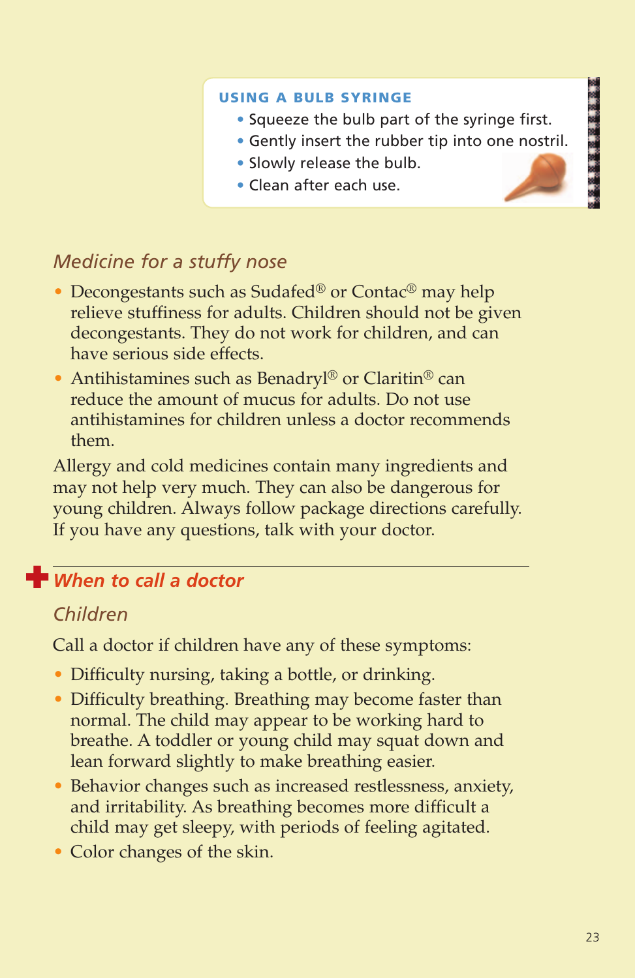#### **USING A BULB SYRINGE**

- **•** Squeeze the bulb part of the syringe first.
- **•** Gently insert the rubber tip into one nostril.
- **•** Slowly release the bulb.
- **•** Clean after each use.

# *Medicine for a stuffy nose*

- Decongestants such as Sudafed<sup>®</sup> or Contac<sup>®</sup> may help relieve stuffiness for adults. Children should not be given decongestants. They do not work for children, and can have serious side effects.
- Antihistamines such as Benadryl® or Claritin® can reduce the amount of mucus for adults. Do not use antihistamines for children unless a doctor recommends them.

Allergy and cold medicines contain many ingredients and may not help very much. They can also be dangerous for young children. Always follow package directions carefully. If you have any questions, talk with your doctor.

# **when to call a doctor**

#### *Children*

Call a doctor if children have any of these symptoms:

- Difficulty nursing, taking a bottle, or drinking.
- Difficulty breathing. Breathing may become faster than normal. The child may appear to be working hard to breathe. A toddler or young child may squat down and lean forward slightly to make breathing easier.
- Behavior changes such as increased restlessness, anxiety, and irritability. As breathing becomes more difficult a child may get sleepy, with periods of feeling agitated.
- Color changes of the skin.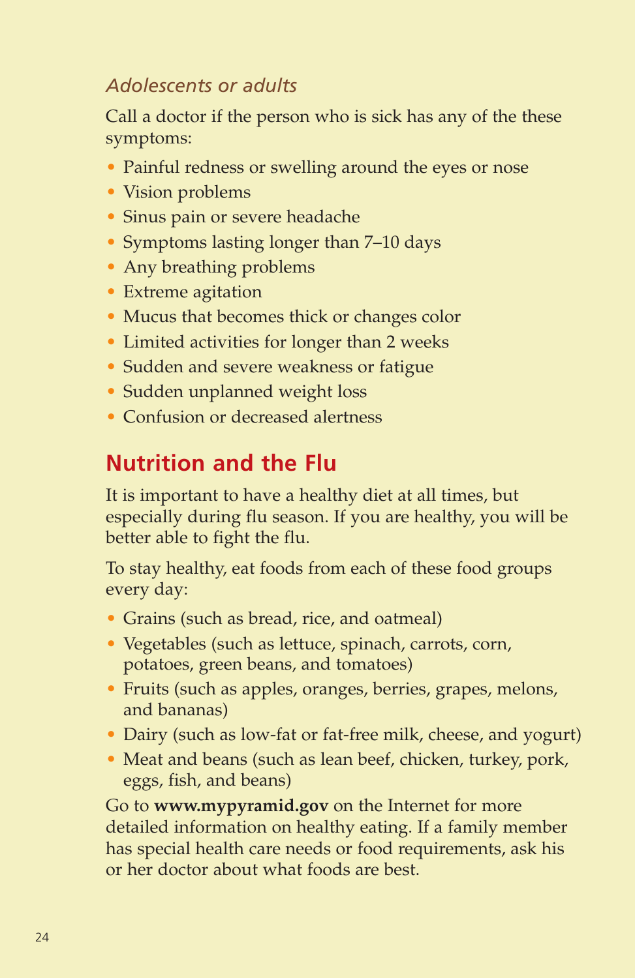# *Adolescents or adults*

Call a doctor if the person who is sick has any of the these symptoms:

- Painful redness or swelling around the eyes or nose
- Vision problems
- Sinus pain or severe headache
- Symptoms lasting longer than 7–10 days
- Any breathing problems
- Extreme agitation
- Mucus that becomes thick or changes color
- Limited activities for longer than 2 weeks
- Sudden and severe weakness or fatigue
- Sudden unplanned weight loss
- Confusion or decreased alertness

# **Nutrition and the Flu**

It is important to have a healthy diet at all times, but especially during flu season. If you are healthy, you will be better able to fight the flu.

To stay healthy, eat foods from each of these food groups every day:

- Grains (such as bread, rice, and oatmeal)
- Vegetables (such as lettuce, spinach, carrots, corn, potatoes, green beans, and tomatoes)
- Fruits (such as apples, oranges, berries, grapes, melons, and bananas)
- Dairy (such as low-fat or fat-free milk, cheese, and yogurt)
- Meat and beans (such as lean beef, chicken, turkey, pork, eggs, fish, and beans)

Go to **www.mypyramid.gov** on the Internet for more detailed information on healthy eating. If a family member has special health care needs or food requirements, ask his or her doctor about what foods are best.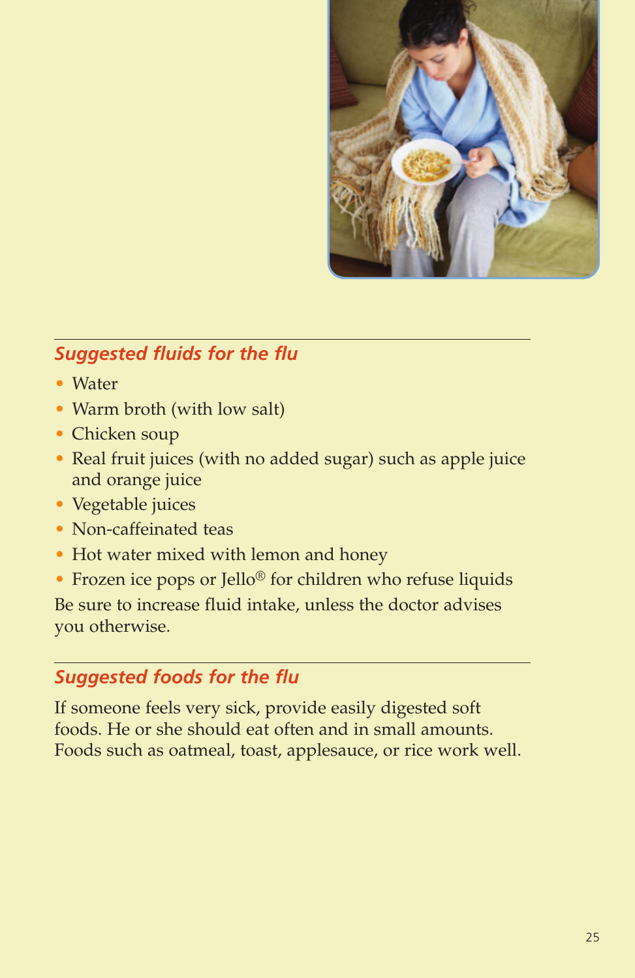

# *Suggested fluids for the flu*

- Water
- Warm broth (with low salt)
- Chicken soup
- Real fruit juices (with no added sugar) such as apple juice and orange juice
- Vegetable juices
- Non-caffeinated teas
- Hot water mixed with lemon and honey
- Frozen ice pops or Jello® for children who refuse liquids

Be sure to increase fluid intake, unless the doctor advises you otherwise.

# *Suggested foods for the flu*

If someone feels very sick, provide easily digested soft foods. He or she should eat often and in small amounts. Foods such as oatmeal, toast, applesauce, or rice work well.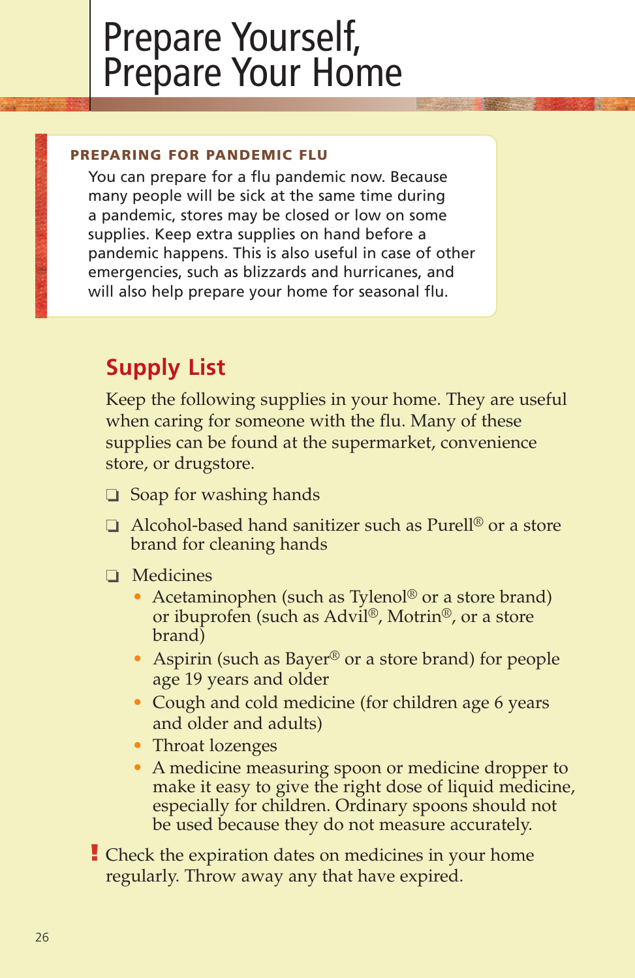# Prepare Yourself, Prepare Your Home

#### **PREPARING FOR PANDEMIC FLU**

You can prepare for a flu pandemic now. Because many people will be sick at the same time during a pandemic, stores may be closed or low on some supplies. Keep extra supplies on hand before a pandemic happens. This is also useful in case of other emergencies, such as blizzards and hurricanes, and will also help prepare your home for seasonal flu.

# **Supply List**

Keep the following supplies in your home. They are useful when caring for someone with the flu. Many of these supplies can be found at the supermarket, convenience store, or drugstore.

- **❏** Soap for washing hands
- **❏** Alcohol-based hand sanitizer such as Purell® or a store brand for cleaning hands
- **❏** Medicines
	- Acetaminophen (such as Tylenol® or a store brand) or ibuprofen (such as Advil®, Motrin®, or a store brand)
	- Aspirin (such as Bayer<sup>®</sup> or a store brand) for people age 19 years and older
	- Cough and cold medicine (for children age 6 years and older and adults)
	- Throat lozenges
	- A medicine measuring spoon or medicine dropper to make it easy to give the right dose of liquid medicine, especially for children. Ordinary spoons should not be used because they do not measure accurately.
- Check the expiration dates on medicines in your home **!**regularly. Throw away any that have expired.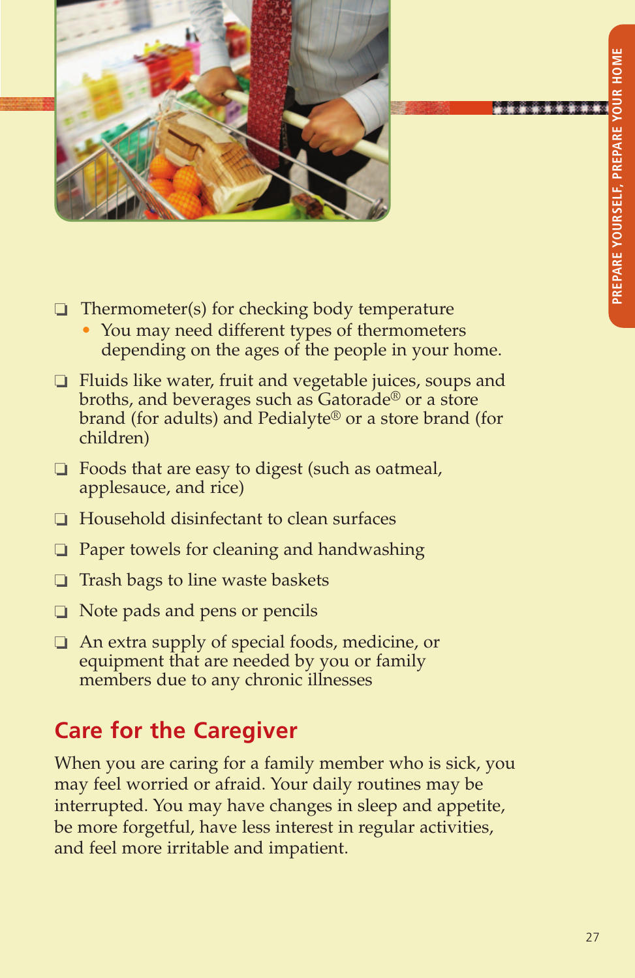

- **❏** Thermometer(s) for checking body temperature
	- You may need different types of thermometers depending on the ages of the people in your home.
- **❏** Fluids like water, fruit and vegetable juices, soups and broths, and beverages such as Gatorade® or a store brand (for adults) and Pedialyte® or a store brand (for children)
- **❏** Foods that are easy to digest (such as oatmeal, applesauce, and rice)
- **❏** Household disinfectant to clean surfaces
- **❏** Paper towels for cleaning and handwashing
- **❏** Trash bags to line waste baskets
- **❏** Note pads and pens or pencils
- **❏** An extra supply of special foods, medicine, or equipment that are needed by you or family members due to any chronic illnesses

# **Care for the Caregiver**

When you are caring for a family member who is sick, you may feel worried or afraid. Your daily routines may be interrupted. You may have changes in sleep and appetite, be more forgetful, have less interest in regular activities, and feel more irritable and impatient.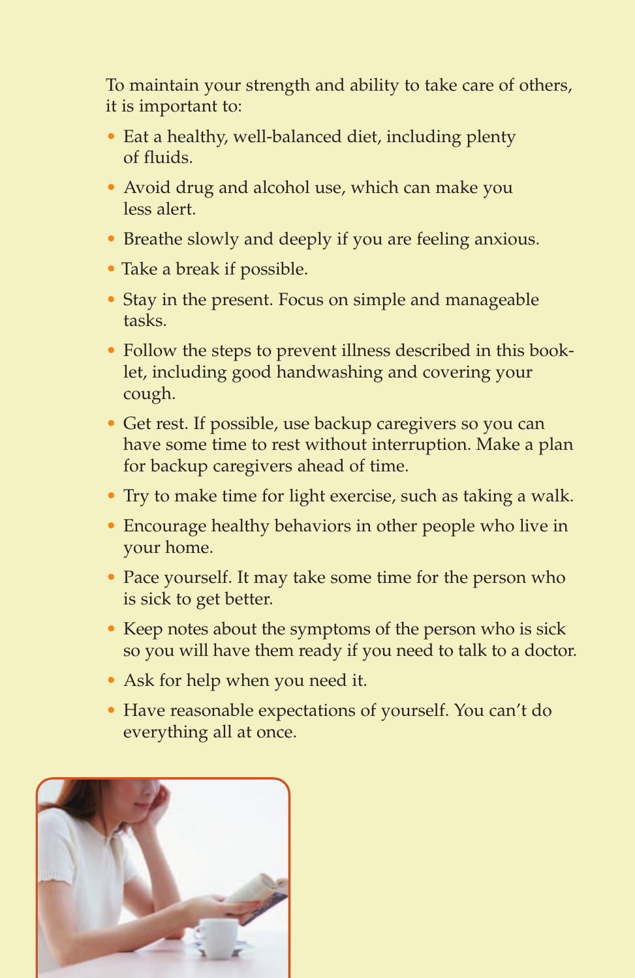To maintain your strength and ability to take care of others, it is important to:

- Eat a healthy, well-balanced diet, including plenty of fluids.
- Avoid drug and alcohol use, which can make you less alert.
- Breathe slowly and deeply if you are feeling anxious.
- Take a break if possible.
- Stay in the present. Focus on simple and manageable tasks.
- Follow the steps to prevent illness described in this booklet, including good handwashing and covering your cough.
- Get rest. If possible, use backup caregivers so you can have some time to rest without interruption. Make a plan for backup caregivers ahead of time.
- Try to make time for light exercise, such as taking a walk.
- Encourage healthy behaviors in other people who live in your home.
- Pace yourself. It may take some time for the person who is sick to get better.
- Keep notes about the symptoms of the person who is sick so you will have them ready if you need to talk to a doctor.
- Ask for help when you need it.
- Have reasonable expectations of yourself. You can't do everything all at once.

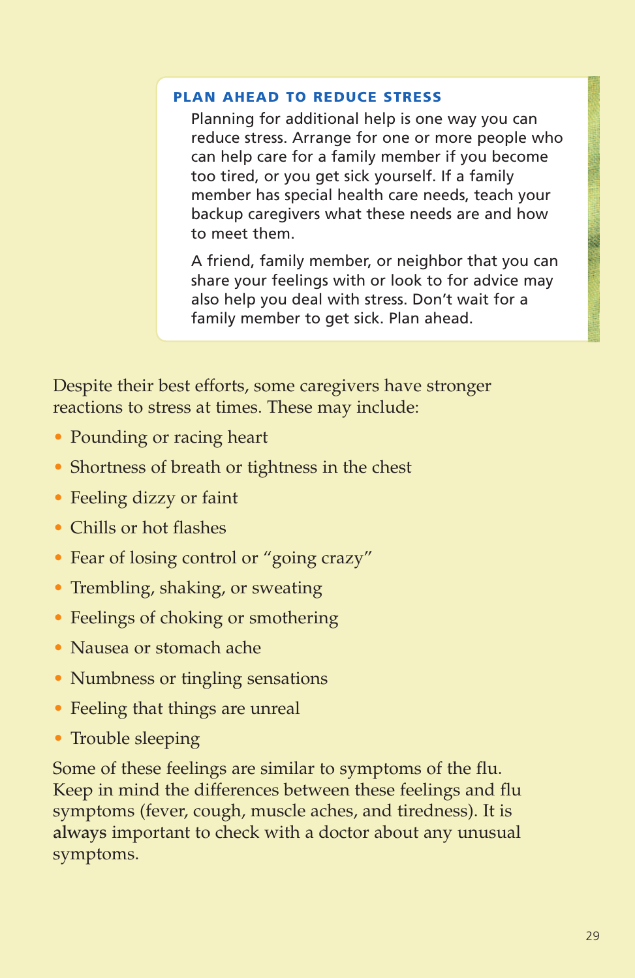#### **PLAN AHEAD TO REDUCE STRESS**

Planning for additional help is one way you can reduce stress. Arrange for one or more people who can help care for a family member if you become too tired, or you get sick yourself. If a family member has special health care needs, teach your backup caregivers what these needs are and how to meet them.

A friend, family member, or neighbor that you can share your feelings with or look to for advice may also help you deal with stress. Don't wait for a family member to get sick. Plan ahead.

Despite their best efforts, some caregivers have stronger reactions to stress at times. These may include:

- Pounding or racing heart
- Shortness of breath or tightness in the chest
- Feeling dizzy or faint
- Chills or hot flashes
- Fear of losing control or "going crazy"
- Trembling, shaking, or sweating
- Feelings of choking or smothering
- Nausea or stomach ache
- Numbness or tingling sensations
- Feeling that things are unreal
- Trouble sleeping

Some of these feelings are similar to symptoms of the flu. Keep in mind the differences between these feelings and flu symptoms (fever, cough, muscle aches, and tiredness). It is **always** important to check with a doctor about any unusual symptoms.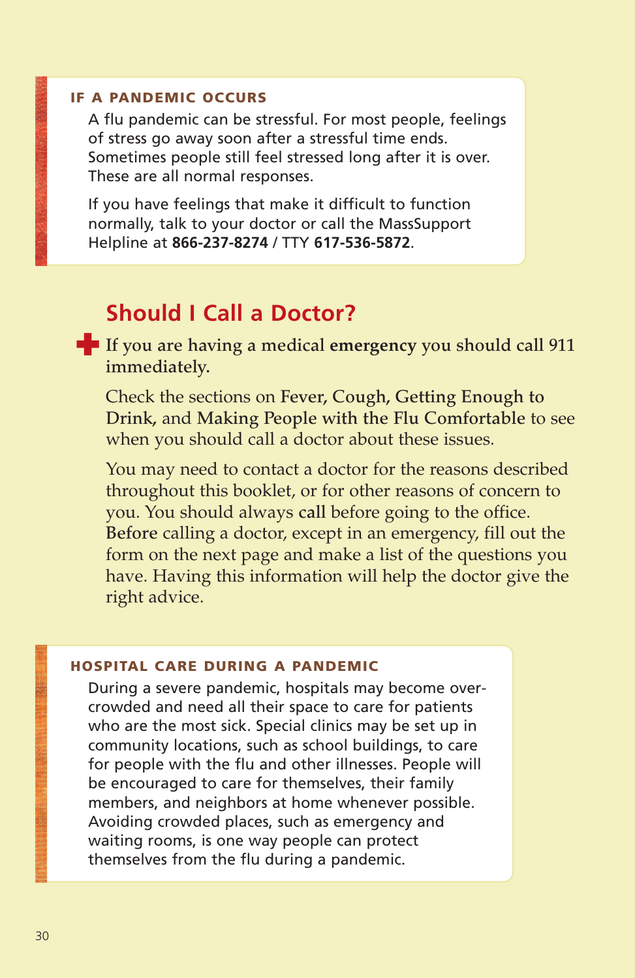#### **IF A PANDEMIC OCCURS**

A flu pandemic can be stressful. For most people, feelings of stress go away soon after a stressful time ends. Sometimes people still feel stressed long after it is over. These are all normal responses.

If you have feelings that make it difficult to function normally, talk to your doctor or call the MassSupport Helpline at **866-237-8274** / TTY **617-536-5872**.

# **Should I Call a Doctor?**

**If** you are having a medical emergency you should call 911 **immediately.**

Check the sections on **Fever, Cough, Getting Enough to Drink,** and **Making People with the Flu Comfortable** to see when you should call a doctor about these issues.

You may need to contact a doctor for the reasons described throughout this booklet, or for other reasons of concern to you. You should always **call** before going to the office. **Before** calling a doctor, except in an emergency, fill out the form on the next page and make a list of the questions you have. Having this information will help the doctor give the right advice.

#### **HOSPITAL CARE DURING A PANDEMIC**

During a severe pandemic, hospitals may become overcrowded and need all their space to care for patients who are the most sick. Special clinics may be set up in community locations, such as school buildings, to care for people with the flu and other illnesses. People will be encouraged to care for themselves, their family members, and neighbors at home whenever possible. Avoiding crowded places, such as emergency and waiting rooms, is one way people can protect themselves from the flu during a pandemic.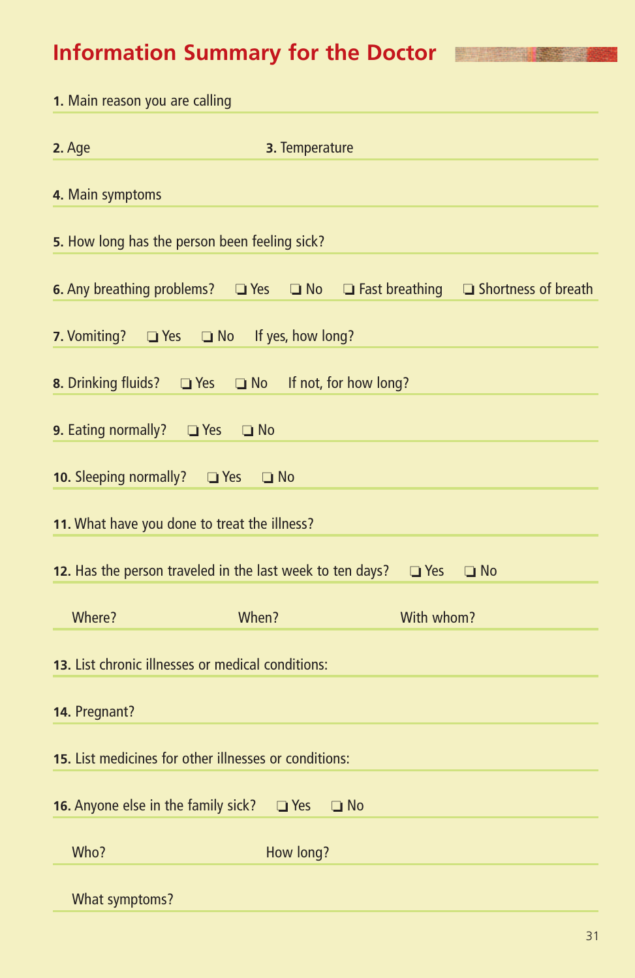# **Information Summary for the Doctor**

| 1. Main reason you are calling                  |                                                                                       |            |                                                  |
|-------------------------------------------------|---------------------------------------------------------------------------------------|------------|--------------------------------------------------|
| 2. Age                                          | 3. Temperature                                                                        |            |                                                  |
| 4. Main symptoms                                |                                                                                       |            |                                                  |
|                                                 | 5. How long has the person been feeling sick?                                         |            |                                                  |
|                                                 | <b>6.</b> Any breathing problems? $\Box$ Yes $\Box$ No                                |            | $\Box$ Fast breathing $\Box$ Shortness of breath |
| 7. Vomiting?                                    | □ Yes □ No If yes, how long?                                                          |            |                                                  |
|                                                 | 8. Drinking fluids? U Yes U No If not, for how long?                                  |            |                                                  |
| <b>9.</b> Eating normally? $\Box$ Yes $\Box$ No |                                                                                       |            |                                                  |
| 10. Sleeping normally? • Thes                   | $\Box$ No                                                                             |            |                                                  |
|                                                 | 11. What have you done to treat the illness?                                          |            |                                                  |
|                                                 | <b>12.</b> Has the person traveled in the last week to ten days? $\Box$ Yes $\Box$ No |            |                                                  |
| Where?                                          | When?                                                                                 | With whom? |                                                  |
|                                                 | 13. List chronic illnesses or medical conditions:                                     |            |                                                  |
| 14. Pregnant?                                   |                                                                                       |            |                                                  |
|                                                 | 15. List medicines for other illnesses or conditions:                                 |            |                                                  |
| 16. Anyone else in the family sick?             | $\Box$ No<br>$\Box$ Yes                                                               |            |                                                  |
| Who?                                            | How long?                                                                             |            |                                                  |
| What symptoms?                                  |                                                                                       |            |                                                  |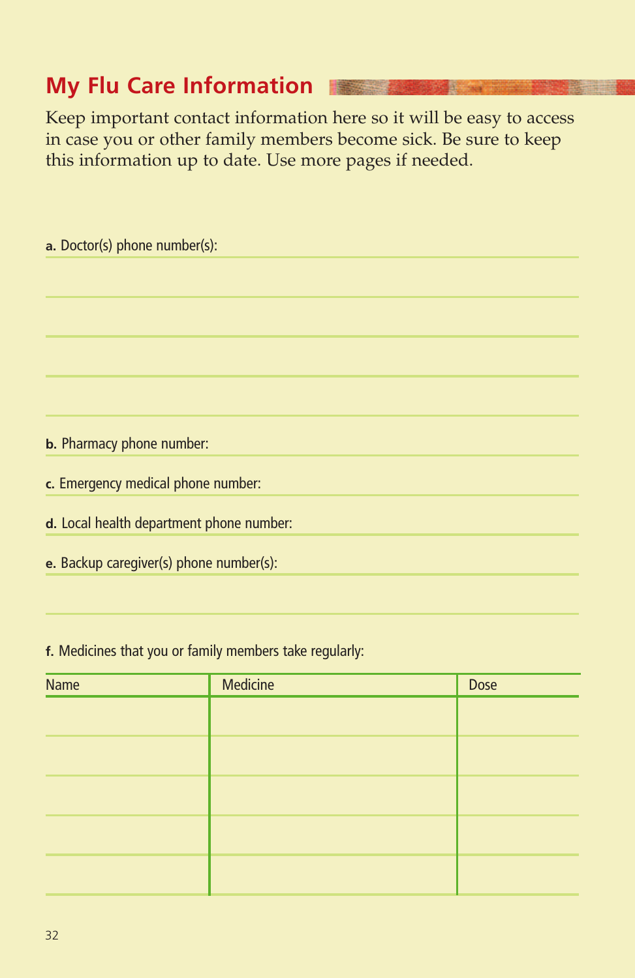# **My Flu Care Information**

Keep important contact information here so it will be easy to access in case you or other family members become sick. Be sure to keep this information up to date. Use more pages if needed.

| a. Doctor(s) phone number(s):            |
|------------------------------------------|
|                                          |
|                                          |
|                                          |
|                                          |
|                                          |
|                                          |
| <b>b.</b> Pharmacy phone number:         |
| c. Emergency medical phone number:       |
| d. Local health department phone number: |
| e. Backup caregiver(s) phone number(s):  |
|                                          |

**f.** Medicines that you or family members take regularly:

| Name | <b>Medicine</b> | Dose |
|------|-----------------|------|
|      |                 |      |
|      |                 |      |
|      |                 |      |
|      |                 |      |
|      |                 |      |
|      |                 |      |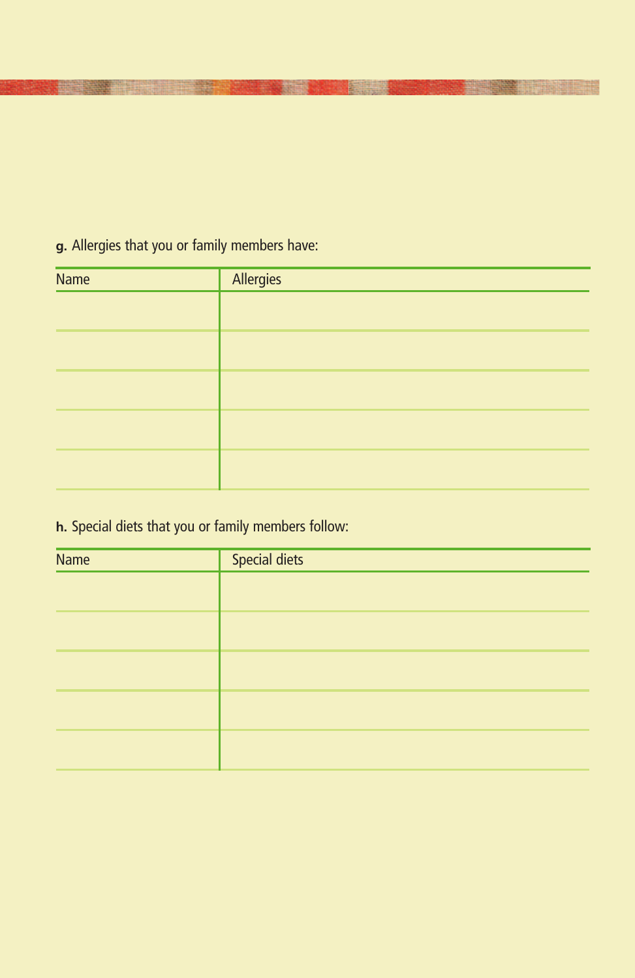# **g.** Allergies that you or family members have:

| <b>Name</b> | Allergies |
|-------------|-----------|
|             |           |
|             |           |
|             |           |
|             |           |
|             |           |

# **h.** Special diets that you or family members follow:

| Name | <b>Special diets</b> |
|------|----------------------|
|      |                      |
|      |                      |
|      |                      |
|      |                      |
|      |                      |
|      |                      |